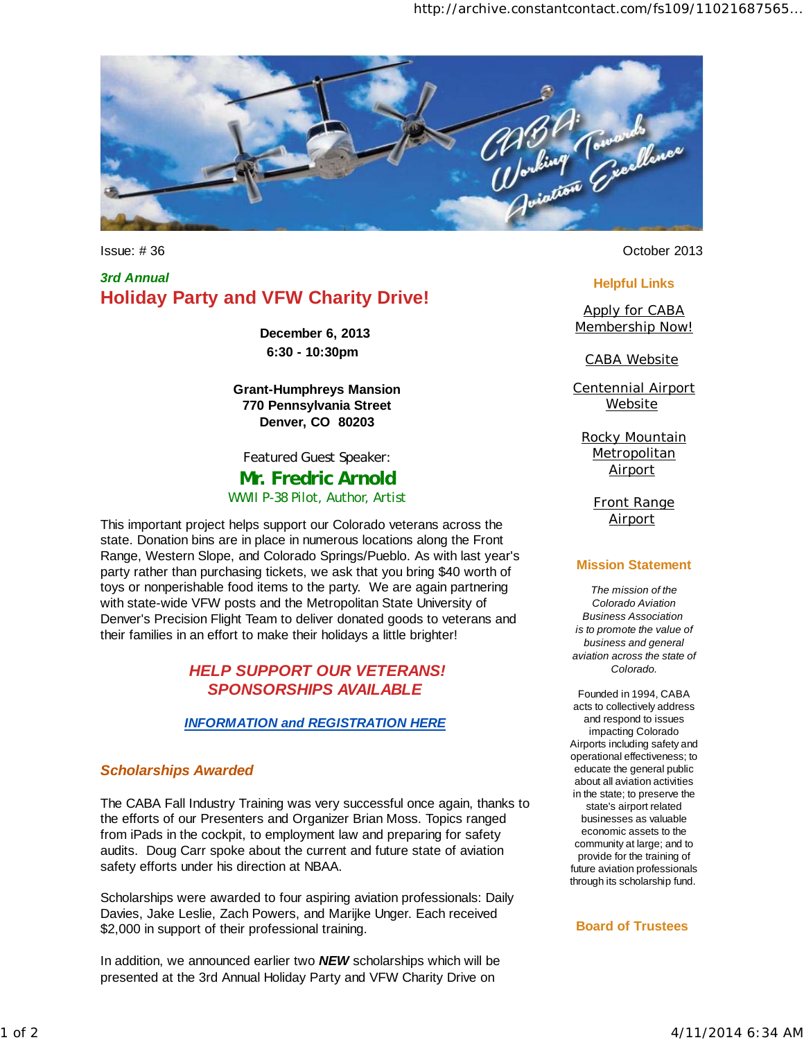

*3rd Annual*  **Holiday Party and VFW Charity Drive!**

> **December 6, 2013 6:30 - 10:30pm**

**Grant-Humphreys Mansion 770 Pennsylvania Street Denver, CO 80203**

*Featured Guest Speaker:*

**Mr. Fredric Arnold** WWII P-38 Pilot, Author, Artist

This important project helps support our Colorado veterans across the state. Donation bins are in place in numerous locations along the Front Range, Western Slope, and Colorado Springs/Pueblo. As with last year's party rather than purchasing tickets, we ask that you bring \$40 worth of toys or nonperishable food items to the party. We are again partnering with state-wide VFW posts and the Metropolitan State University of Denver's Precision Flight Team to deliver donated goods to veterans and their families in an effort to make their holidays a little brighter!

### *HELP SUPPORT OUR VETERANS! SPONSORSHIPS AVAILABLE*

### *INFORMATION and REGISTRATION HERE*

### *Scholarships Awarded*

The CABA Fall Industry Training was very successful once again, thanks to the efforts of our Presenters and Organizer Brian Moss. Topics ranged from iPads in the cockpit, to employment law and preparing for safety audits. Doug Carr spoke about the current and future state of aviation safety efforts under his direction at NBAA.

Scholarships were awarded to four aspiring aviation professionals: Daily Davies, Jake Leslie, Zach Powers, and Marijke Unger. Each received \$2,000 in support of their professional training.

In addition, we announced earlier two *NEW* scholarships which will be presented at the 3rd Annual Holiday Party and VFW Charity Drive on

Issue: # 36 October 2013

### **Helpful Links**

Apply for CABA Membership Now!

CABA Website

Centennial Airport **Website** 

Rocky Mountain **Metropolitan Airport** 

> Front Range **Airport**

#### **Mission Statement**

*The mission of the Colorado Aviation Business Association is to promote the value of business and general aviation across the state of Colorado.*

Founded in 1994, CABA acts to collectively address and respond to issues impacting Colorado Airports including safety and operational effectiveness; to educate the general public about all aviation activities in the state; to preserve the state's airport related businesses as valuable economic assets to the community at large; and to provide for the training of future aviation professionals through its scholarship fund.

#### **Board of Trustees**